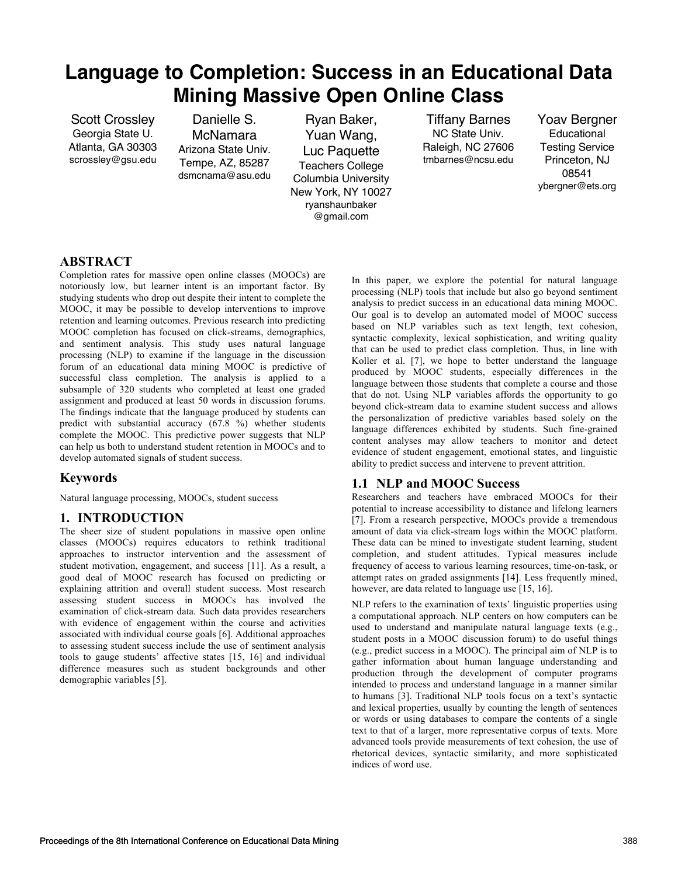# **Language to Completion: Success in an Educational Data Mining Massive Open Online Class**

Scott Crossley Georgia State U. Atlanta, GA 30303 scrossley@gsu.edu

Danielle S. McNamara Arizona State Univ. Tempe, AZ, 85287 dsmcnama@asu.edu

Ryan Baker, Yuan Wang, Luc Paquette Teachers College Columbia University New York, NY 10027 ryanshaunbaker @gmail.com

Tiffany Barnes NC State Univ. Raleigh, NC 27606 tmbarnes@ncsu.edu Yoav Bergner Educational Testing Service Princeton, NJ 08541 ybergner@ets.org

## **ABSTRACT**

Completion rates for massive open online classes (MOOCs) are notoriously low, but learner intent is an important factor. By studying students who drop out despite their intent to complete the MOOC, it may be possible to develop interventions to improve retention and learning outcomes. Previous research into predicting MOOC completion has focused on click-streams, demographics, and sentiment analysis. This study uses natural language processing (NLP) to examine if the language in the discussion forum of an educational data mining MOOC is predictive of successful class completion. The analysis is applied to a subsample of 320 students who completed at least one graded assignment and produced at least 50 words in discussion forums. The findings indicate that the language produced by students can predict with substantial accuracy (67.8 %) whether students complete the MOOC. This predictive power suggests that NLP can help us both to understand student retention in MOOCs and to develop automated signals of student success.

## **Keywords**

Natural language processing, MOOCs, student success

## **1. INTRODUCTION**

The sheer size of student populations in massive open online classes (MOOCs) requires educators to rethink traditional approaches to instructor intervention and the assessment of student motivation, engagement, and success [11]. As a result, a good deal of MOOC research has focused on predicting or explaining attrition and overall student success. Most research assessing student success in MOOCs has involved the examination of click-stream data. Such data provides researchers with evidence of engagement within the course and activities associated with individual course goals [6]. Additional approaches to assessing student success include the use of sentiment analysis tools to gauge students' affective states [15, 16] and individual difference measures such as student backgrounds and other demographic variables [5].

In this paper, we explore the potential for natural language processing (NLP) tools that include but also go beyond sentiment analysis to predict success in an educational data mining MOOC. Our goal is to develop an automated model of MOOC success based on NLP variables such as text length, text cohesion, syntactic complexity, lexical sophistication, and writing quality that can be used to predict class completion. Thus, in line with Koller et al. [7], we hope to better understand the language produced by MOOC students, especially differences in the language between those students that complete a course and those that do not. Using NLP variables affords the opportunity to go beyond click-stream data to examine student success and allows the personalization of predictive variables based solely on the language differences exhibited by students. Such fine-grained content analyses may allow teachers to monitor and detect evidence of student engagement, emotional states, and linguistic ability to predict success and intervene to prevent attrition.

## **1.1 NLP and MOOC Success**

Researchers and teachers have embraced MOOCs for their potential to increase accessibility to distance and lifelong learners [7]. From a research perspective, MOOCs provide a tremendous amount of data via click-stream logs within the MOOC platform. These data can be mined to investigate student learning, student completion, and student attitudes. Typical measures include frequency of access to various learning resources, time-on-task, or attempt rates on graded assignments [14]. Less frequently mined, however, are data related to language use [15, 16].

NLP refers to the examination of texts' linguistic properties using a computational approach. NLP centers on how computers can be used to understand and manipulate natural language texts (e.g., student posts in a MOOC discussion forum) to do useful things (e.g., predict success in a MOOC). The principal aim of NLP is to gather information about human language understanding and production through the development of computer programs intended to process and understand language in a manner similar to humans [3]. Traditional NLP tools focus on a text's syntactic and lexical properties, usually by counting the length of sentences or words or using databases to compare the contents of a single text to that of a larger, more representative corpus of texts. More advanced tools provide measurements of text cohesion, the use of rhetorical devices, syntactic similarity, and more sophisticated indices of word use.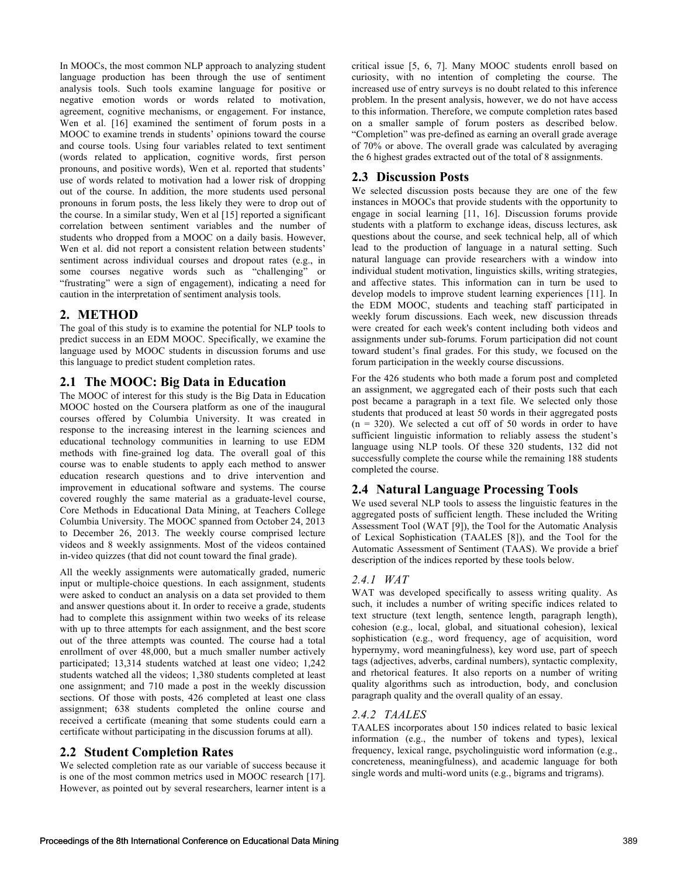In MOOCs, the most common NLP approach to analyzing student language production has been through the use of sentiment analysis tools. Such tools examine language for positive or negative emotion words or words related to motivation, agreement, cognitive mechanisms, or engagement. For instance, Wen et al. [16] examined the sentiment of forum posts in a MOOC to examine trends in students' opinions toward the course and course tools. Using four variables related to text sentiment (words related to application, cognitive words, first person pronouns, and positive words), Wen et al. reported that students' use of words related to motivation had a lower risk of dropping out of the course. In addition, the more students used personal pronouns in forum posts, the less likely they were to drop out of the course. In a similar study, Wen et al [15] reported a significant correlation between sentiment variables and the number of students who dropped from a MOOC on a daily basis. However, Wen et al. did not report a consistent relation between students' sentiment across individual courses and dropout rates (e.g., in some courses negative words such as "challenging" or "frustrating" were a sign of engagement), indicating a need for caution in the interpretation of sentiment analysis tools.

### **2. METHOD**

The goal of this study is to examine the potential for NLP tools to predict success in an EDM MOOC. Specifically, we examine the language used by MOOC students in discussion forums and use this language to predict student completion rates.

### **2.1 The MOOC: Big Data in Education**

The MOOC of interest for this study is the Big Data in Education MOOC hosted on the Coursera platform as one of the inaugural courses offered by Columbia University. It was created in response to the increasing interest in the learning sciences and educational technology communities in learning to use EDM methods with fine-grained log data. The overall goal of this course was to enable students to apply each method to answer education research questions and to drive intervention and improvement in educational software and systems. The course covered roughly the same material as a graduate-level course, Core Methods in Educational Data Mining, at Teachers College Columbia University. The MOOC spanned from October 24, 2013 to December 26, 2013. The weekly course comprised lecture videos and 8 weekly assignments. Most of the videos contained in-video quizzes (that did not count toward the final grade).

All the weekly assignments were automatically graded, numeric input or multiple-choice questions. In each assignment, students were asked to conduct an analysis on a data set provided to them and answer questions about it. In order to receive a grade, students had to complete this assignment within two weeks of its release with up to three attempts for each assignment, and the best score out of the three attempts was counted. The course had a total enrollment of over 48,000, but a much smaller number actively participated; 13,314 students watched at least one video; 1,242 students watched all the videos; 1,380 students completed at least one assignment; and 710 made a post in the weekly discussion sections. Of those with posts, 426 completed at least one class assignment; 638 students completed the online course and received a certificate (meaning that some students could earn a certificate without participating in the discussion forums at all).

## **2.2 Student Completion Rates**

We selected completion rate as our variable of success because it is one of the most common metrics used in MOOC research [17]. However, as pointed out by several researchers, learner intent is a

critical issue [5, 6, 7]. Many MOOC students enroll based on curiosity, with no intention of completing the course. The increased use of entry surveys is no doubt related to this inference problem. In the present analysis, however, we do not have access to this information. Therefore, we compute completion rates based on a smaller sample of forum posters as described below. "Completion" was pre-defined as earning an overall grade average of 70% or above. The overall grade was calculated by averaging the 6 highest grades extracted out of the total of 8 assignments.

## **2.3 Discussion Posts**

We selected discussion posts because they are one of the few instances in MOOCs that provide students with the opportunity to engage in social learning [11, 16]. Discussion forums provide students with a platform to exchange ideas, discuss lectures, ask questions about the course, and seek technical help, all of which lead to the production of language in a natural setting. Such natural language can provide researchers with a window into individual student motivation, linguistics skills, writing strategies, and affective states. This information can in turn be used to develop models to improve student learning experiences [11]. In the EDM MOOC, students and teaching staff participated in weekly forum discussions. Each week, new discussion threads were created for each week's content including both videos and assignments under sub-forums. Forum participation did not count toward student's final grades. For this study, we focused on the forum participation in the weekly course discussions.

For the 426 students who both made a forum post and completed an assignment, we aggregated each of their posts such that each post became a paragraph in a text file. We selected only those students that produced at least 50 words in their aggregated posts  $(n = 320)$ . We selected a cut off of 50 words in order to have sufficient linguistic information to reliably assess the student's language using NLP tools. Of these 320 students, 132 did not successfully complete the course while the remaining 188 students completed the course.

## **2.4 Natural Language Processing Tools**

We used several NLP tools to assess the linguistic features in the aggregated posts of sufficient length. These included the Writing Assessment Tool (WAT [9]), the Tool for the Automatic Analysis of Lexical Sophistication (TAALES [8]), and the Tool for the Automatic Assessment of Sentiment (TAAS). We provide a brief description of the indices reported by these tools below.

## *2.4.1 WAT*

WAT was developed specifically to assess writing quality. As such, it includes a number of writing specific indices related to text structure (text length, sentence length, paragraph length), cohesion (e.g., local, global, and situational cohesion), lexical sophistication (e.g., word frequency, age of acquisition, word hypernymy, word meaningfulness), key word use, part of speech tags (adjectives, adverbs, cardinal numbers), syntactic complexity, and rhetorical features. It also reports on a number of writing quality algorithms such as introduction, body, and conclusion paragraph quality and the overall quality of an essay.

#### *2.4.2 TAALES*

TAALES incorporates about 150 indices related to basic lexical information (e.g., the number of tokens and types), lexical frequency, lexical range, psycholinguistic word information (e.g., concreteness, meaningfulness), and academic language for both single words and multi-word units (e.g., bigrams and trigrams).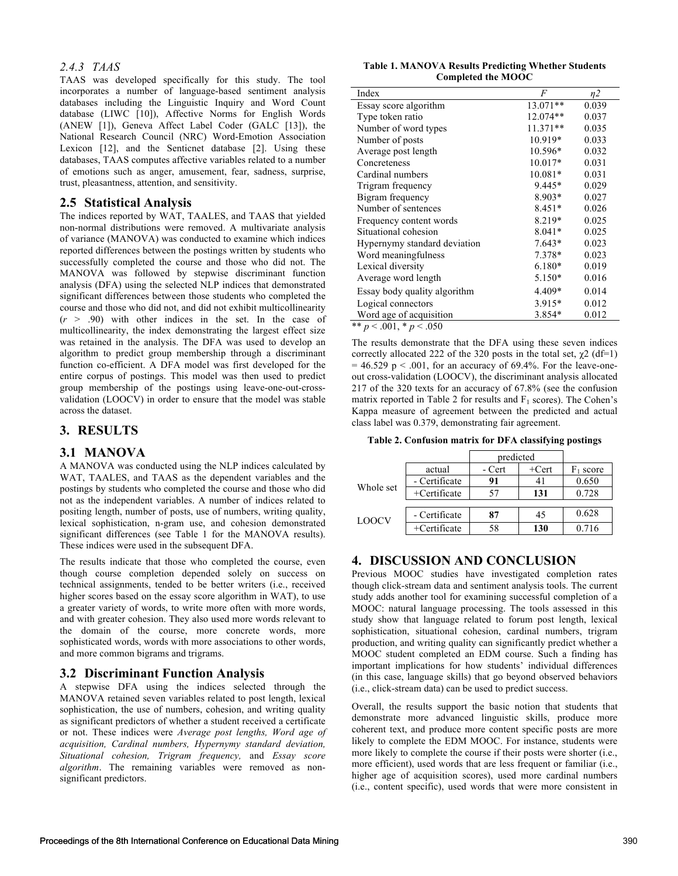#### *2.4.3 TAAS*

TAAS was developed specifically for this study. The tool incorporates a number of language-based sentiment analysis databases including the Linguistic Inquiry and Word Count database (LIWC [10]), Affective Norms for English Words (ANEW [1]), Geneva Affect Label Coder (GALC [13]), the National Research Council (NRC) Word-Emotion Association Lexicon [12], and the Senticnet database [2]. Using these databases, TAAS computes affective variables related to a number of emotions such as anger, amusement, fear, sadness, surprise, trust, pleasantness, attention, and sensitivity.

#### **2.5 Statistical Analysis**

The indices reported by WAT, TAALES, and TAAS that yielded non-normal distributions were removed. A multivariate analysis of variance (MANOVA) was conducted to examine which indices reported differences between the postings written by students who successfully completed the course and those who did not. The MANOVA was followed by stepwise discriminant function analysis (DFA) using the selected NLP indices that demonstrated significant differences between those students who completed the course and those who did not, and did not exhibit multicollinearity  $(r > .90)$  with other indices in the set. In the case of multicollinearity, the index demonstrating the largest effect size was retained in the analysis. The DFA was used to develop an algorithm to predict group membership through a discriminant function co-efficient. A DFA model was first developed for the entire corpus of postings. This model was then used to predict group membership of the postings using leave-one-out-crossvalidation (LOOCV) in order to ensure that the model was stable across the dataset.

### **3. RESULTS**

#### **3.1 MANOVA**

A MANOVA was conducted using the NLP indices calculated by WAT, TAALES, and TAAS as the dependent variables and the postings by students who completed the course and those who did not as the independent variables. A number of indices related to positing length, number of posts, use of numbers, writing quality, lexical sophistication, n-gram use, and cohesion demonstrated significant differences (see Table 1 for the MANOVA results). These indices were used in the subsequent DFA.

The results indicate that those who completed the course, even though course completion depended solely on success on technical assignments, tended to be better writers (i.e., received higher scores based on the essay score algorithm in WAT), to use a greater variety of words, to write more often with more words, and with greater cohesion. They also used more words relevant to the domain of the course, more concrete words, more sophisticated words, words with more associations to other words, and more common bigrams and trigrams.

#### **3.2 Discriminant Function Analysis**

A stepwise DFA using the indices selected through the MANOVA retained seven variables related to post length, lexical sophistication, the use of numbers, cohesion, and writing quality as significant predictors of whether a student received a certificate or not. These indices were *Average post lengths, Word age of acquisition, Cardinal numbers, Hypernymy standard deviation, Situational cohesion, Trigram frequency,* and *Essay score algorithm*. The remaining variables were removed as nonsignificant predictors.

#### **Table 1. MANOVA Results Predicting Whether Students Completed the MOOC**

| Index                        | F         | n2    |
|------------------------------|-----------|-------|
| Essay score algorithm        | 13.071**  | 0.039 |
| Type token ratio             | 12.074**  | 0.037 |
| Number of word types         | 11.371**  | 0.035 |
| Number of posts              | 10.919*   | 0.033 |
| Average post length          | 10.596*   | 0.032 |
| Concreteness                 | $10.017*$ | 0.031 |
| Cardinal numbers             | $10.081*$ | 0.031 |
| Trigram frequency            | 9.445*    | 0.029 |
| Bigram frequency             | 8.903*    | 0.027 |
| Number of sentences          | 8.451*    | 0.026 |
| Frequency content words      | 8.219*    | 0.025 |
| Situational cohesion         | $8.041*$  | 0.025 |
| Hypernymy standard deviation | $7.643*$  | 0.023 |
| Word meaningfulness          | 7.378*    | 0.023 |
| Lexical diversity            | $6.180*$  | 0.019 |
| Average word length          | 5.150*    | 0.016 |
| Essay body quality algorithm | 4.409*    | 0.014 |
| Logical connectors           | 3.915*    | 0.012 |
| Word age of acquisition      | 3.854*    | 0.012 |
| ** $p < .001$ , * $p < .050$ |           |       |

The results demonstrate that the DFA using these seven indices correctly allocated 222 of the 320 posts in the total set,  $\chi^2$  (df=1)  $= 46.529$  p  $\leq 0.001$ , for an accuracy of 69.4%. For the leave-oneout cross-validation (LOOCV), the discriminant analysis allocated 217 of the 320 texts for an accuracy of 67.8% (see the confusion matrix reported in Table 2 for results and  $F_1$  scores). The Cohen's Kappa measure of agreement between the predicted and actual class label was 0.379, demonstrating fair agreement.

**Table 2. Confusion matrix for DFA classifying postings**

|              |                 | predicted |          |                     |
|--------------|-----------------|-----------|----------|---------------------|
|              | actual          | - Cert    | $+$ Cert | $\frac{1}{1}$ score |
| Whole set    | - Certificate   | 91        |          | 0.650               |
|              | $+$ Certificate | 57        | 131      | 0.728               |
|              |                 |           |          |                     |
| <b>LOOCV</b> | - Certificate   | 87        | 45       | 0.628               |
|              | $+$ Certificate | 58        | 130      | 0.716               |

#### **4. DISCUSSION AND CONCLUSION**

Previous MOOC studies have investigated completion rates though click-stream data and sentiment analysis tools. The current study adds another tool for examining successful completion of a MOOC: natural language processing. The tools assessed in this study show that language related to forum post length, lexical sophistication, situational cohesion, cardinal numbers, trigram production, and writing quality can significantly predict whether a MOOC student completed an EDM course. Such a finding has important implications for how students' individual differences (in this case, language skills) that go beyond observed behaviors (i.e., click-stream data) can be used to predict success.

Overall, the results support the basic notion that students that demonstrate more advanced linguistic skills, produce more coherent text, and produce more content specific posts are more likely to complete the EDM MOOC. For instance, students were more likely to complete the course if their posts were shorter (i.e., more efficient), used words that are less frequent or familiar (i.e., higher age of acquisition scores), used more cardinal numbers (i.e., content specific), used words that were more consistent in